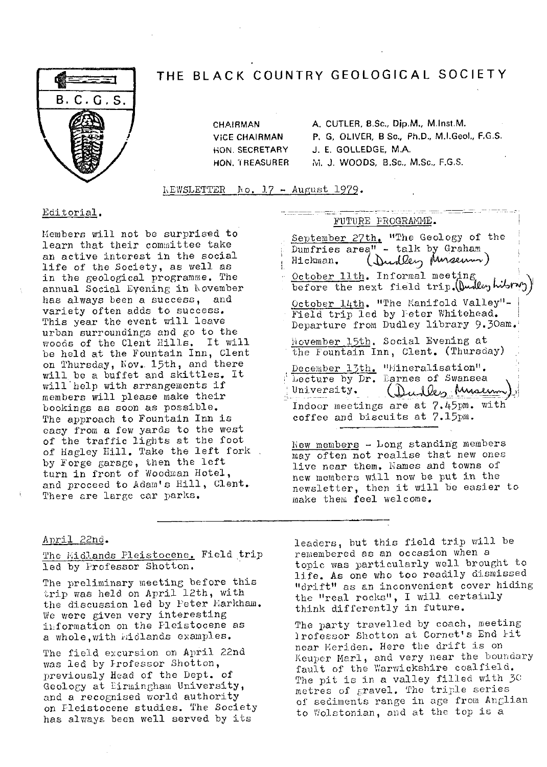

## THE BLACK COUNTRY GEOLOGICAL SOCIETY

CHAIRMAN A. CUTLER, B.Sc., bjp.M., M.Inst.M. VICE CHAIRMAN P. G, OLIVER, B Sc., **PhD.,** M.I.Geol., F.G.S. HON. SECRETARY J. E. GOLLEDGE, M.A. HON. TREASURER M. J. WOODS, B.Sc., M.Sc., F.G.S.

 $KEYETER$  No. 17 - August 1979.

Members will not be surprised to learn that their committee take an active interest in the social life of the Society, as well as in the geological programme. The annual Social Eyening in November has always been a success, and variety often adds to success. This year the event will leave urban surroundings and go to the woods of the Clent dills. It will be held at the Fountain Inn, Clent on Thursday, Nov.. 15th, and there will be a buffet and skittles. it will help with arrangements if members will please make their bookings as soon as possible. The approach to Fountain Inn is easy from a few yards to the west of the traffic lights at the foot of Hagley Hill. Take the left fork. by Forge garage, then the left turn in front of Woodman Hotel, and proceed to Adam's Hill, Clent. There are large car parks.

# Editorial.<br>FUTURE FROGRAMME.

September 27th. "The Geology of the August 1979.<br>
FUTURE FROGRAMME.<br>
September 27th. "The Geology of<br>
Dumfries area" - talk by Graham<br>
Hickman. (Dundler Munderum) October 11th. Informal meeting before the next field trip. (Durley hibrary) October 14th. "The Manifold Valley"-Field trip led by Feter Whitehead. Departure from Dudley library 9.3Oam. November 15th. Social Evening at the Fountain Inn, Clent. (Thursday) December 13th. "Mineralisation". Lecture by Dr. Darnes of Swansea University. Indoor meetings are at 7.45pm. with coffee and biscuits at 7.15pm.

New members  $-$  Long standing members may often not realise that new ones live near them. Names and towns of new members will now be put in the newsletter, then it will be easier to make them feel welcome.

### April 22nd .

The *Midlands* Pleistocene. Field trip led by Professor Shotton,

The preliminary meeting before this trip was held on April 12th, with the discussion led by Peter Markham. We were given very interesting information on the Pleistocene as a whole, with *iddands* examples.

The field excursion on April 22nd was led by Irofessor Shotton, previously Head of the Dept. of Geology at Eirmingham University, and a recognised world authority on Pleistocene studies. The Society has always been well served by its

leaders, but this field trip will be remembered as an occasion when a topic was particularly well brought to life. As one who too readily dismissed "drift" as an inconvenient cover hiding the "real rocks", I will certainly think differently in future.

The party travelled by coach, meeting Irofessor Shotton at Cornet's End lit near Meriden. Here the drift is on Keuper Marl, and very near the boundary fault of the Warwickshire coalfield. The pit is in a valley filled with 3G metres of gravel. The triple series of sediments range in age from Anglian to Wolstonian, and at the top is a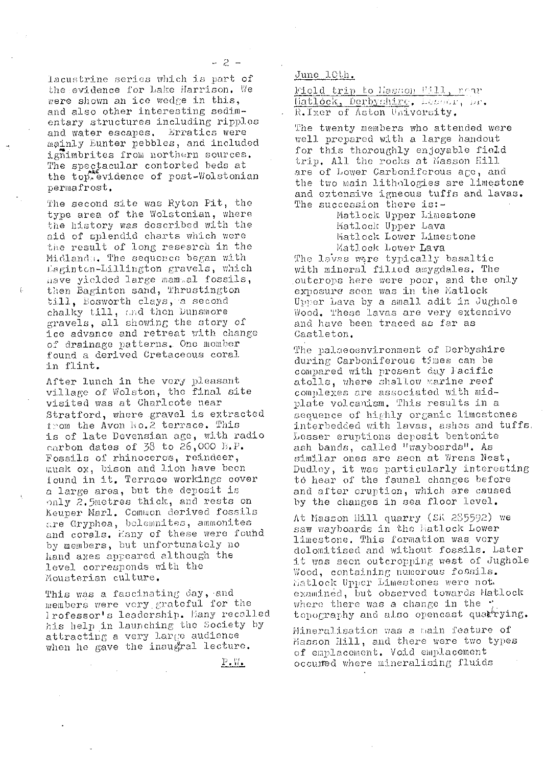lacustrine series which is part of the *evidence* for bake harrison. Vie were shown an ice wedge in this, and also other interesting sedim- entary structures including ripples and water escapes. Erratics were mainly Eunter pebbles, and included ignimbrites from northern sources. The spectacular contorted beds at the top, evidence of post-Wolstonian permafrost,

The second site was Ryton Pit, the type area of the Wolstonian, where the history was described with the aid of splendid charts which were tie result of long research in the Midlandu. The sequence began with keg;inton-Lillington gravels, which have yielded large mammal fossils, then Baginton sand, Thrustington till, Bosworth clays, a second chalky till, and then Dunsmore gravels, all showing the story of ice advance and retreat with change of drainage patterns.. One member found a derived Cretaceous coral in flint.

After lunch in the very pleasant village of Wolston, the final site visited was at Charicote near Stratford, where gravel is extracted from the Avon No.2 terrace. This is of late llevensian age, with radio carbon dates of  $38$  to  $26,000$  B.P. fossils of rhinoceros, reindeer, musk ox, bison and lion have been ound in it. Terrace workings cover a large area, but the deposit is only 2.5metres thick, and rests on 1Seuper Marl. Common derived fossils are Gryphea, belemnites, ammonites and corals. Hany of these were found by members, but unfortunately no hand axes appeared although the level corresponds with the Mousterian culture.

This was a fascinating day, and members were very grateful for the lrofessor's leadership. Hany recalled his help in launching the Society by attracting a very large audience when he gave the inaugral lecture.

June 10th.

Field trip to Hasson Fill, near<br>Matlock, Derbychire, Lesser, Dr. R. Ixer of Aston Usiversity.

**The** twenty members who attended were well prepared with a large handout for this thoroughly enjoyable field trip. All the rocks at Masson Hill are of Lower Carboniforous age, and the two main lithologies are limestone and extensive igneous tuffs and lavas. The succession there is:-

Matlock. Upper Limestone Hatlock Upper Lava Matlock Lower Limestone Matlock Lower Lava

Matlock Lower **Lava**<br>The lavas were typically basaltic with mineral filled amygdales. The outcrops here were poor, and the only exposure soon was in the Matlock Upper Lava by a small adit in Jughole Wood. These lavas are very extensive and have been traced as far as Castle ton.

The palaeoenvironment of Derbyshire during Carboniferous times can be compared with present day Pacific atolls, where shallow marine reef complexes are associated with midplate volcanism. This results in a sequence of highly organic limestones interbedc:ed with lavas, ashes and tuffs, Lesser eruptions deposit bentonite ash bands, called "wayboards". As similar ones are seen at Wrens Nest, Dudley, it was particularly interesting to hear of the faunal changes before and after eruption, which are caused by the changes in sea floor level.

At Masson Hill quarry (SK 285592) we saw wayboards in the Hatlock Lower limestone. This formation vas very dolomitised and without fossils. Later it was seen outcropping west of Jughole wood, containing numerous fosmils. hatlock Upper Limestones were not. examined, but observed towards Matlock where there was a change in the  $\ddot{\phantom{a}}$ topography and also opencast quartying.

Mineralisation was a main feature of Masson Hill, and there were two types of emplacement. Void emplacement occured where mineralising fluids

 $P.W.$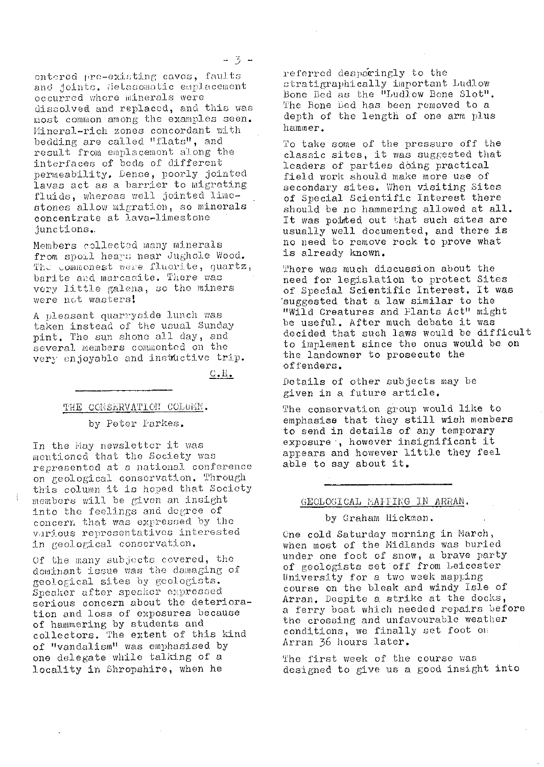entered pre-existing caves, faults and joints. Metasomatic emplacement occurred where minerals were dissolved and replaced, and this was most common among the examples seen. Mineral-rich zones concordant with bedding are called "flats", and result from emplacement along the interfaces of beds of different permeability. Dense, poorly jointed lavas act as a barrier to migrating fluids, whereas well jointed limestones allow migration, so minerals concentrate at lava-limestone junctions.

Members collected many minerals from spoil heaps near Jughole Wood. The commonest were fluorite, quartz, barite and marcasite. There was very little galena, so the miners were not wasters!

A pleasant quarryside lunch was taken instead of the usual Sunday pint. The sun shone all day, and several members commented on the very enjoyable and instactive trip.

<u>с.н.</u>

### THE CONSERVATION COLUMN.

#### by Peter Parkes.

In the May newsletter it was mentioned that the Society was represented at a national conference on geological conservation. Through this column it is hoped that Society members will be given an insight into the feelings and degree of concern that was expressed by the various representatives interested in geological conservation.

Of the many subjects covered, the dominant issue was the damaging of geological sites by geologists. Speaker after speaker expressed serious concern about the deterioration and loss of exposures because of hammering by students and<br>collectors. The extent of this kind of "vandalism" was emphasised by one delegate while talking of a locality in Shropshire, when he

referred desparingly to the stratigraphically important Ludlow Bone Bed as the "Ludlow Bone Slot". The Bone Bed has been removed to a depth of the length of one arm plus hammer.

To take some of the pressure off the classic sites, it was suggested that leaders of parties doing practical field work should make more use of secondary sites. When visiting Sites of Special Scientific Interest there should be no hammering allowed at all.<br>It was pointed out that such sites are usually well documented, and there is no need to remove rock to prove what is already known.

There was much discussion about the need for legislation to protect Sites of Special Scientific Interest. It was suggested that a law similar to the "Wild Creatures and Flants Act" might be useful. After much debate it was decided that such laws would be difficult to implement since the onus would be on the landowner to prosecute the offenders.

Details of other subjects may be given in a future article.

The conservation group would like to emphasise that they still wish members to send in details of any temporary exposure, however insignificant it appears and however little they feel able to say about it.

#### GEOLOGICAL MAFFING IN ARRAN.

#### by Graham Hickman.

One cold Saturday morning in March, when most of the Midlands was buried under one foot of snow, a brave party of geologists set off from Leicester University for a two week mapping<br>course on the bleak and windy Isle of Arran. Despite a strike at the docks, a ferry boat which needed repairs before the crossing and unfavourable weather conditions, we finally set foot on Arran 36 hours later.

The first week of the course was designed to give us a good insight into